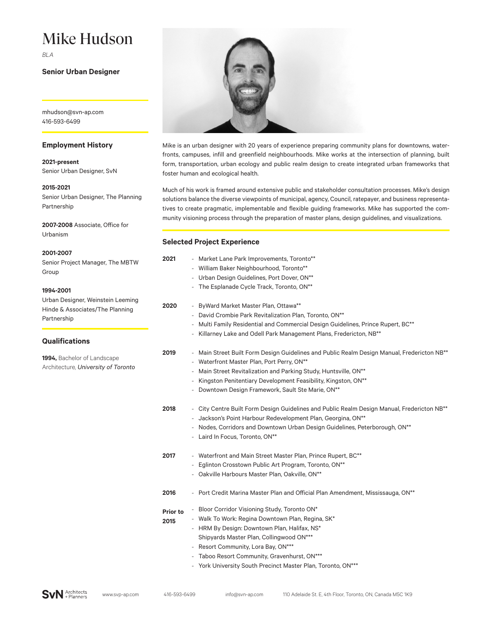# Mike Hudson

*BLA*

# **Senior Urban Designer**

mhudson@svn-ap.com 416-593-6499

### **Employment History**

**2021-present**  Senior Urban Designer, SvN

**2015-2021**

Senior Urban Designer, The Planning Partnership

**2007-2008** Associate, Office for Urbanism

**2001-2007** 

Senior Project Manager, The MBTW Group

#### **1994-2001**

Urban Designer, Weinstein Leeming Hinde & Associates/The Planning Partnership

# **Qualifications**

**1994,** Bachelor of Landscape Architecture, *University of Toronto*



Mike is an urban designer with 20 years of experience preparing community plans for downtowns, waterfronts, campuses, infill and greenfield neighbourhoods. Mike works at the intersection of planning, built form, transportation, urban ecology and public realm design to create integrated urban frameworks that foster human and ecological health.

Much of his work is framed around extensive public and stakeholder consultation processes. Mike's design solutions balance the diverse viewpoints of municipal, agency, Council, ratepayer, and business representatives to create pragmatic, implementable and flexible guiding frameworks. Mike has supported the community visioning process through the preparation of master plans, design guidelines, and visualizations.

#### **Selected Project Experience**

| 2021                    | - Market Lane Park Improvements, Toronto**<br>- William Baker Neighbourhood, Toronto**<br>- Urban Design Guidelines, Port Dover, ON**<br>The Esplanade Cycle Track, Toronto, ON**                                                                                                                                                  |
|-------------------------|------------------------------------------------------------------------------------------------------------------------------------------------------------------------------------------------------------------------------------------------------------------------------------------------------------------------------------|
| 2020                    | - ByWard Market Master Plan, Ottawa**<br>- David Crombie Park Revitalization Plan, Toronto, ON**<br>- Multi Family Residential and Commercial Design Guidelines, Prince Rupert, BC**<br>- Killarney Lake and Odell Park Management Plans, Fredericton, NB**                                                                        |
| 2019                    | - Main Street Built Form Design Guidelines and Public Realm Design Manual, Fredericton NB**<br>- Waterfront Master Plan, Port Perry, ON**<br>- Main Street Revitalization and Parking Study, Huntsville, ON**<br>Kingston Penitentiary Development Feasibility, Kingston, ON**<br>Downtown Design Framework, Sault Ste Marie, ON** |
| 2018                    | - City Centre Built Form Design Guidelines and Public Realm Design Manual, Fredericton NB <sup>**</sup><br>- Jackson's Point Harbour Redevelopment Plan, Georgina, ON**<br>- Nodes, Corridors and Downtown Urban Design Guidelines, Peterborough, ON**<br>- Laird In Focus, Toronto, ON**                                          |
| 2017                    | - Waterfront and Main Street Master Plan, Prince Rupert, BC**<br>- Eglinton Crosstown Public Art Program, Toronto, ON**<br>- Oakville Harbours Master Plan, Oakville, ON**                                                                                                                                                         |
| 2016                    | - Port Credit Marina Master Plan and Official Plan Amendment, Mississauga, ON**                                                                                                                                                                                                                                                    |
| <b>Prior to</b><br>2015 | - Bloor Corridor Visioning Study, Toronto ON*<br>- Walk To Work: Regina Downtown Plan, Regina, SK*<br>- HRM By Design: Downtown Plan, Halifax, NS*<br>Shipyards Master Plan, Collingwood ON***<br>Resort Community, Lora Bay, ON***<br>$\overline{\phantom{a}}$<br>- Taboo Resort Community, Gravenhurst, ON***                    |
|                         | - York University South Precinct Master Plan, Toronto, ON***                                                                                                                                                                                                                                                                       |

**SvN** Architects